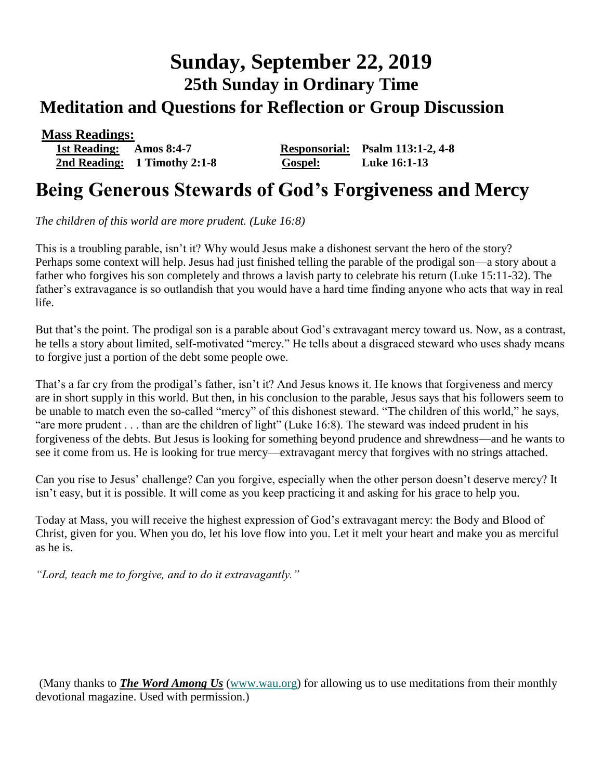# **Sunday, September 22, 2019 25th Sunday in Ordinary Time Meditation and Questions for Reflection or Group Discussion**

 **Mass Readings: 1st Reading: Amos 8:4-7 Responsorial: Psalm 113:1-2, 4-8 2nd Reading: 1 Timothy 2:1-8 Gospel: Luke 16:1-13**

## **Being Generous Stewards of God's Forgiveness and Mercy**

*The children of this world are more prudent. (Luke 16:8)* 

This is a troubling parable, isn't it? Why would Jesus make a dishonest servant the hero of the story? Perhaps some context will help. Jesus had just finished telling the parable of the prodigal son—a story about a father who forgives his son completely and throws a lavish party to celebrate his return (Luke 15:11-32). The father's extravagance is so outlandish that you would have a hard time finding anyone who acts that way in real life.

But that's the point. The prodigal son is a parable about God's extravagant mercy toward us. Now, as a contrast, he tells a story about limited, self-motivated "mercy." He tells about a disgraced steward who uses shady means to forgive just a portion of the debt some people owe.

That's a far cry from the prodigal's father, isn't it? And Jesus knows it. He knows that forgiveness and mercy are in short supply in this world. But then, in his conclusion to the parable, Jesus says that his followers seem to be unable to match even the so-called "mercy" of this dishonest steward. "The children of this world," he says, "are more prudent . . . than are the children of light" (Luke 16:8). The steward was indeed prudent in his forgiveness of the debts. But Jesus is looking for something beyond prudence and shrewdness—and he wants to see it come from us. He is looking for true mercy—extravagant mercy that forgives with no strings attached.

Can you rise to Jesus' challenge? Can you forgive, especially when the other person doesn't deserve mercy? It isn't easy, but it is possible. It will come as you keep practicing it and asking for his grace to help you.

Today at Mass, you will receive the highest expression of God's extravagant mercy: the Body and Blood of Christ, given for you. When you do, let his love flow into you. Let it melt your heart and make you as merciful as he is.

*"Lord, teach me to forgive, and to do it extravagantly."*

(Many thanks to *[The Word Among Us](http://www.wau.org/)* [\(www.wau.org\)](http://www.wau.org/) for allowing us to use meditations from their monthly devotional magazine. Used with permission.)